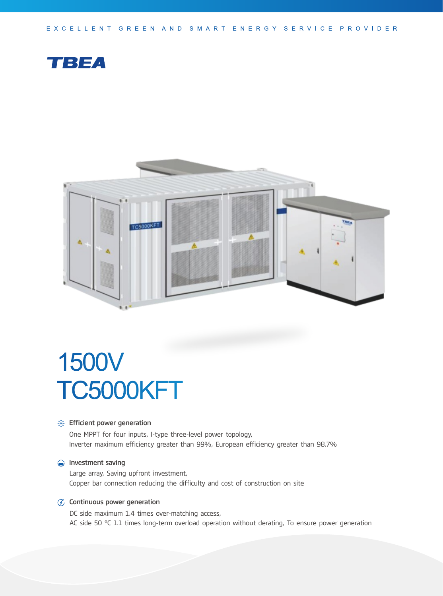EXCELLENT GREEN AND SMART ENERGY SERVICE PROVIDER





# 1500V TC5000KFT

#### **Section** Financeurier generation

One MPPT for four inputs, I-type three-level power topology, Inverter maximum efficiency greater than 99%, European efficiency greater than 98.7%

#### **Investment saving**

Large array, Saving upfront investment, Copper bar connection reducing the difficulty and cost of construction on site

#### $G$  Continuous power generation

DC side maximum 1.4 times over-matching access, AC side 50 °C 1.1 times long-term overload operation without derating, To ensure power generation